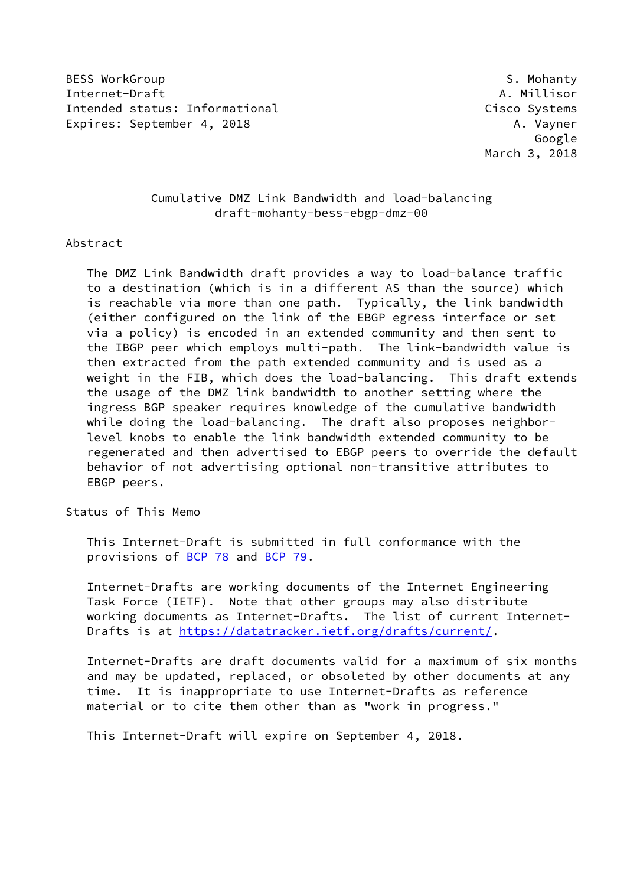BESS WorkGroup **S. Mohanty** Internet-Draft A. Millisor Intended status: Informational Cisco Systems Expires: September 4, 2018 A. Vayner

 Google March 3, 2018

# Cumulative DMZ Link Bandwidth and load-balancing draft-mohanty-bess-ebgp-dmz-00

#### Abstract

 The DMZ Link Bandwidth draft provides a way to load-balance traffic to a destination (which is in a different AS than the source) which is reachable via more than one path. Typically, the link bandwidth (either configured on the link of the EBGP egress interface or set via a policy) is encoded in an extended community and then sent to the IBGP peer which employs multi-path. The link-bandwidth value is then extracted from the path extended community and is used as a weight in the FIB, which does the load-balancing. This draft extends the usage of the DMZ link bandwidth to another setting where the ingress BGP speaker requires knowledge of the cumulative bandwidth while doing the load-balancing. The draft also proposes neighbor level knobs to enable the link bandwidth extended community to be regenerated and then advertised to EBGP peers to override the default behavior of not advertising optional non-transitive attributes to EBGP peers.

## Status of This Memo

 This Internet-Draft is submitted in full conformance with the provisions of [BCP 78](https://datatracker.ietf.org/doc/pdf/bcp78) and [BCP 79](https://datatracker.ietf.org/doc/pdf/bcp79).

 Internet-Drafts are working documents of the Internet Engineering Task Force (IETF). Note that other groups may also distribute working documents as Internet-Drafts. The list of current Internet- Drafts is at<https://datatracker.ietf.org/drafts/current/>.

 Internet-Drafts are draft documents valid for a maximum of six months and may be updated, replaced, or obsoleted by other documents at any time. It is inappropriate to use Internet-Drafts as reference material or to cite them other than as "work in progress."

This Internet-Draft will expire on September 4, 2018.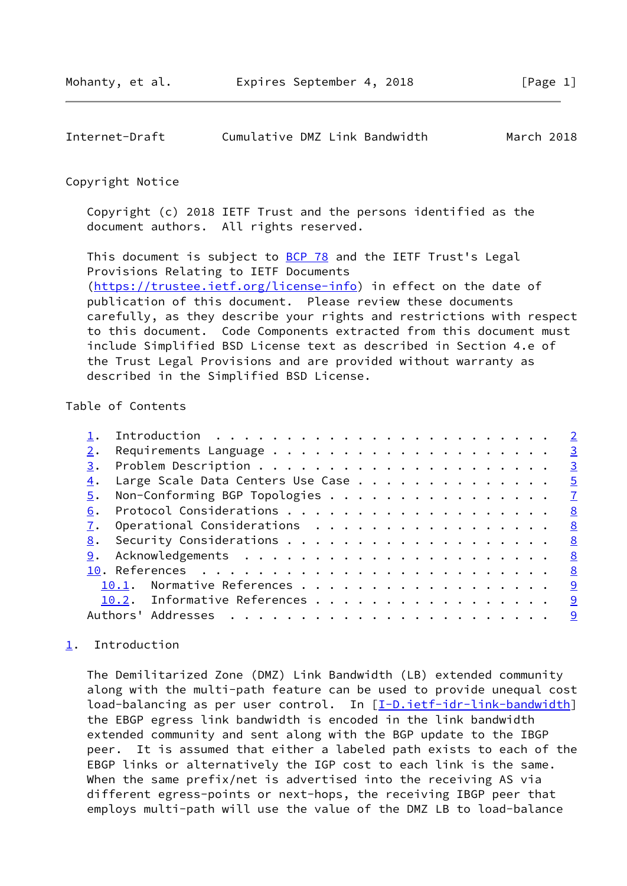<span id="page-1-1"></span>

| Internet-Draft | Cumulative DMZ Link Bandwidth |  |  | March 2018 |  |
|----------------|-------------------------------|--|--|------------|--|
|----------------|-------------------------------|--|--|------------|--|

#### Copyright Notice

 Copyright (c) 2018 IETF Trust and the persons identified as the document authors. All rights reserved.

This document is subject to **[BCP 78](https://datatracker.ietf.org/doc/pdf/bcp78)** and the IETF Trust's Legal Provisions Relating to IETF Documents [\(https://trustee.ietf.org/license-info](https://trustee.ietf.org/license-info)) in effect on the date of publication of this document. Please review these documents carefully, as they describe your rights and restrictions with respect to this document. Code Components extracted from this document must include Simplified BSD License text as described in Section 4.e of the Trust Legal Provisions and are provided without warranty as described in the Simplified BSD License.

# Table of Contents

|    | Introduction $\ldots \ldots \ldots \ldots \ldots \ldots \ldots \ldots \ldots$ |          |
|----|-------------------------------------------------------------------------------|----------|
|    |                                                                               |          |
| 3. |                                                                               |          |
| 4. | Large Scale Data Centers Use Case 5                                           |          |
| 5. | Non-Conforming BGP Topologies 7                                               |          |
| 6. |                                                                               | <u>8</u> |
|    | $\underline{7}$ . Operational Considerations 8                                |          |
|    |                                                                               |          |
|    |                                                                               |          |
|    |                                                                               |          |
|    | 10.1. Normative References 9                                                  |          |
|    | 10.2. Informative References 9                                                |          |
|    |                                                                               | <u>g</u> |
|    |                                                                               |          |

## <span id="page-1-0"></span>[1](#page-1-0). Introduction

 The Demilitarized Zone (DMZ) Link Bandwidth (LB) extended community along with the multi-path feature can be used to provide unequal cost load-balancing as per user control. In [\[I-D.ietf-idr-link-bandwidth](#page-8-5)] the EBGP egress link bandwidth is encoded in the link bandwidth extended community and sent along with the BGP update to the IBGP peer. It is assumed that either a labeled path exists to each of the EBGP links or alternatively the IGP cost to each link is the same. When the same prefix/net is advertised into the receiving AS via different egress-points or next-hops, the receiving IBGP peer that employs multi-path will use the value of the DMZ LB to load-balance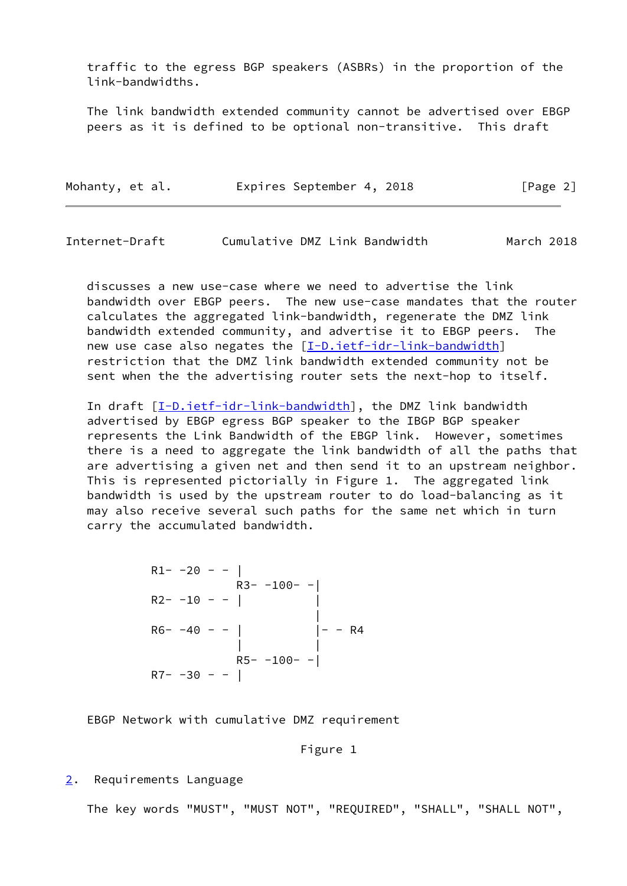traffic to the egress BGP speakers (ASBRs) in the proportion of the link-bandwidths.

 The link bandwidth extended community cannot be advertised over EBGP peers as it is defined to be optional non-transitive. This draft

| Mohanty, et al. | Expires September 4, 2018 | [Page 2] |
|-----------------|---------------------------|----------|
|-----------------|---------------------------|----------|

<span id="page-2-1"></span>

| Internet-Draft | Cumulative DMZ Link Bandwidth |  | March 2018 |  |
|----------------|-------------------------------|--|------------|--|
|                |                               |  |            |  |

 discusses a new use-case where we need to advertise the link bandwidth over EBGP peers. The new use-case mandates that the router calculates the aggregated link-bandwidth, regenerate the DMZ link bandwidth extended community, and advertise it to EBGP peers. The new use case also negates the [[I-D.ietf-idr-link-bandwidth](#page-8-5)] restriction that the DMZ link bandwidth extended community not be sent when the the advertising router sets the next-hop to itself.

In draft  $[I-D.iett-idr-link-bandwidth]$ , the DMZ link bandwidth advertised by EBGP egress BGP speaker to the IBGP BGP speaker represents the Link Bandwidth of the EBGP link. However, sometimes there is a need to aggregate the link bandwidth of all the paths that are advertising a given net and then send it to an upstream neighbor. This is represented pictorially in Figure 1. The aggregated link bandwidth is used by the upstream router to do load-balancing as it may also receive several such paths for the same net which in turn carry the accumulated bandwidth.

 $R1- -20 - - |$  $R3 - -100 - R2 - -10 - -$  | | R6- -40 - - | | R4 | |  $R5- -100- R7 - -30 - -$ 

EBGP Network with cumulative DMZ requirement

Figure 1

#### <span id="page-2-0"></span>[2](#page-2-0). Requirements Language

The key words "MUST", "MUST NOT", "REQUIRED", "SHALL", "SHALL NOT",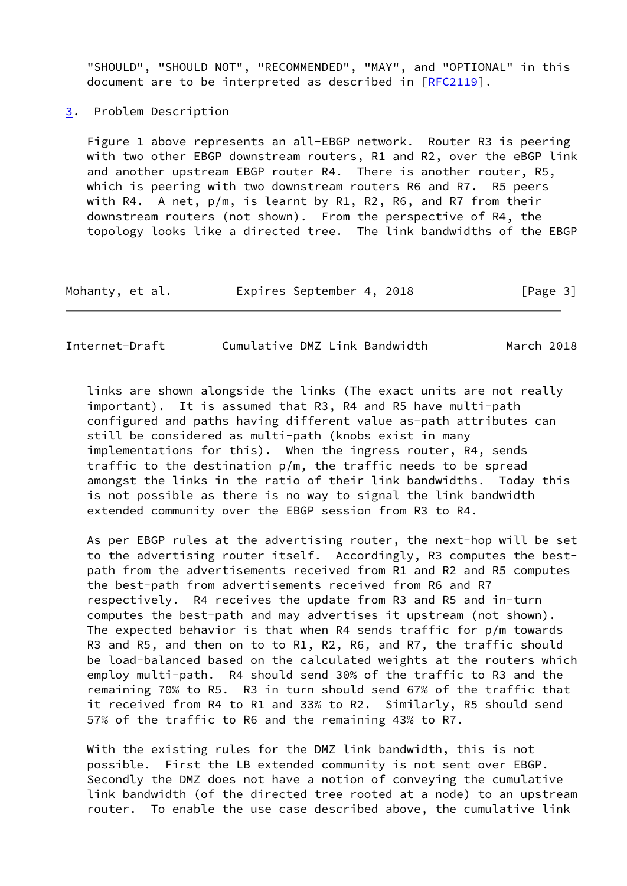"SHOULD", "SHOULD NOT", "RECOMMENDED", "MAY", and "OPTIONAL" in this document are to be interpreted as described in [\[RFC2119](https://datatracker.ietf.org/doc/pdf/rfc2119)].

<span id="page-3-0"></span>[3](#page-3-0). Problem Description

 Figure 1 above represents an all-EBGP network. Router R3 is peering with two other EBGP downstream routers, R1 and R2, over the eBGP link and another upstream EBGP router R4. There is another router, R5, which is peering with two downstream routers R6 and R7. R5 peers with R4. A net, p/m, is learnt by R1, R2, R6, and R7 from their downstream routers (not shown). From the perspective of R4, the topology looks like a directed tree. The link bandwidths of the EBGP

| Mohanty, et al. | Expires September 4, 2018 | [Page 3] |
|-----------------|---------------------------|----------|
|-----------------|---------------------------|----------|

 links are shown alongside the links (The exact units are not really important). It is assumed that R3, R4 and R5 have multi-path configured and paths having different value as-path attributes can still be considered as multi-path (knobs exist in many implementations for this). When the ingress router, R4, sends traffic to the destination p/m, the traffic needs to be spread amongst the links in the ratio of their link bandwidths. Today this is not possible as there is no way to signal the link bandwidth extended community over the EBGP session from R3 to R4.

 As per EBGP rules at the advertising router, the next-hop will be set to the advertising router itself. Accordingly, R3 computes the best path from the advertisements received from R1 and R2 and R5 computes the best-path from advertisements received from R6 and R7 respectively. R4 receives the update from R3 and R5 and in-turn computes the best-path and may advertises it upstream (not shown). The expected behavior is that when R4 sends traffic for p/m towards R3 and R5, and then on to to R1, R2, R6, and R7, the traffic should be load-balanced based on the calculated weights at the routers which employ multi-path. R4 should send 30% of the traffic to R3 and the remaining 70% to R5. R3 in turn should send 67% of the traffic that it received from R4 to R1 and 33% to R2. Similarly, R5 should send 57% of the traffic to R6 and the remaining 43% to R7.

 With the existing rules for the DMZ link bandwidth, this is not possible. First the LB extended community is not sent over EBGP. Secondly the DMZ does not have a notion of conveying the cumulative link bandwidth (of the directed tree rooted at a node) to an upstream router. To enable the use case described above, the cumulative link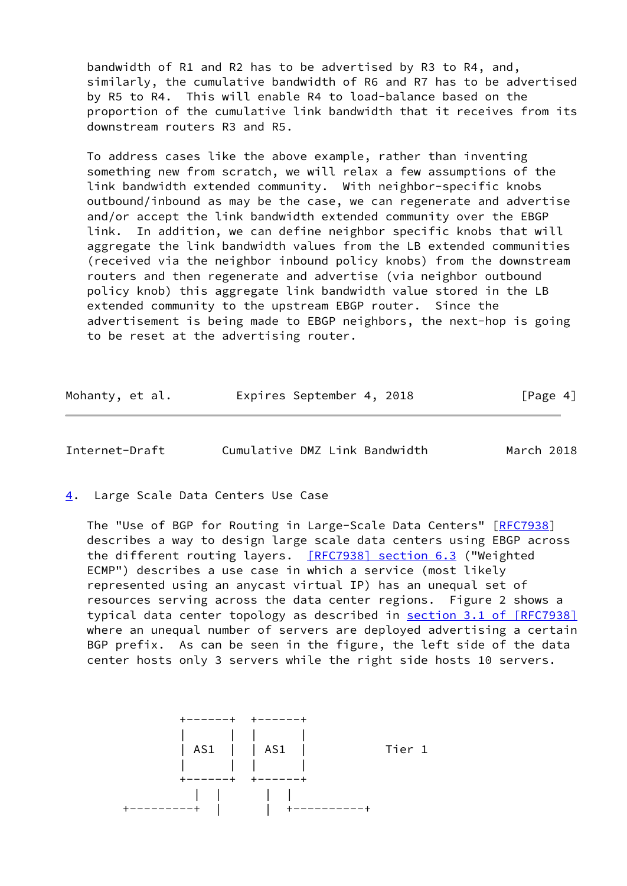bandwidth of R1 and R2 has to be advertised by R3 to R4, and, similarly, the cumulative bandwidth of R6 and R7 has to be advertised by R5 to R4. This will enable R4 to load-balance based on the proportion of the cumulative link bandwidth that it receives from its downstream routers R3 and R5.

 To address cases like the above example, rather than inventing something new from scratch, we will relax a few assumptions of the link bandwidth extended community. With neighbor-specific knobs outbound/inbound as may be the case, we can regenerate and advertise and/or accept the link bandwidth extended community over the EBGP link. In addition, we can define neighbor specific knobs that will aggregate the link bandwidth values from the LB extended communities (received via the neighbor inbound policy knobs) from the downstream routers and then regenerate and advertise (via neighbor outbound policy knob) this aggregate link bandwidth value stored in the LB extended community to the upstream EBGP router. Since the advertisement is being made to EBGP neighbors, the next-hop is going to be reset at the advertising router.

| Mohanty, et al. | Expires September 4, 2018 |  | [Page 4] |
|-----------------|---------------------------|--|----------|
|-----------------|---------------------------|--|----------|

<span id="page-4-1"></span>Internet-Draft Cumulative DMZ Link Bandwidth March 2018

<span id="page-4-0"></span>[4](#page-4-0). Large Scale Data Centers Use Case

The "Use of BGP for Routing in Large-Scale Data Centers" [\[RFC7938](https://datatracker.ietf.org/doc/pdf/rfc7938)] describes a way to design large scale data centers using EBGP across the different routing layers. [\[RFC7938\] section](https://datatracker.ietf.org/doc/pdf/rfc7938#section-6.3) 6.3 ("Weighted ECMP") describes a use case in which a service (most likely represented using an anycast virtual IP) has an unequal set of resources serving across the data center regions. Figure 2 shows a typical data center topology as described in section [3.1 of \[RFC7938\]](https://datatracker.ietf.org/doc/pdf/rfc7938#section-3.1) where an unequal number of servers are deployed advertising a certain BGP prefix. As can be seen in the figure, the left side of the data center hosts only 3 servers while the right side hosts 10 servers.

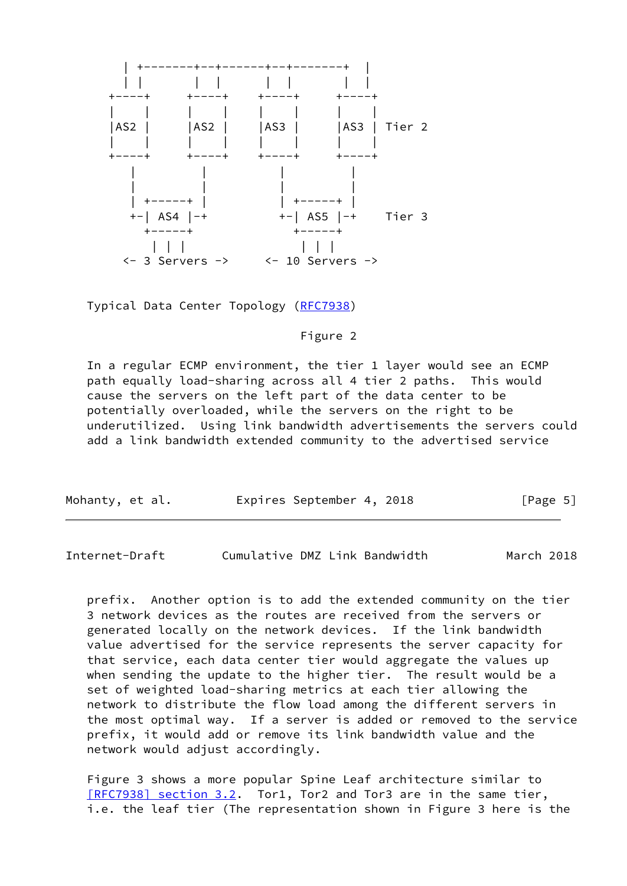

Typical Data Center Topology [\(RFC7938](https://datatracker.ietf.org/doc/pdf/rfc7938))

Figure 2

 In a regular ECMP environment, the tier 1 layer would see an ECMP path equally load-sharing across all 4 tier 2 paths. This would cause the servers on the left part of the data center to be potentially overloaded, while the servers on the right to be underutilized. Using link bandwidth advertisements the servers could add a link bandwidth extended community to the advertised service

| Mohanty, et al. | Expires September 4, 2018 | [Page 5] |
|-----------------|---------------------------|----------|
|                 |                           |          |

Internet-Draft Cumulative DMZ Link Bandwidth March 2018

 prefix. Another option is to add the extended community on the tier 3 network devices as the routes are received from the servers or generated locally on the network devices. If the link bandwidth value advertised for the service represents the server capacity for that service, each data center tier would aggregate the values up when sending the update to the higher tier. The result would be a set of weighted load-sharing metrics at each tier allowing the network to distribute the flow load among the different servers in the most optimal way. If a server is added or removed to the service prefix, it would add or remove its link bandwidth value and the network would adjust accordingly.

 Figure 3 shows a more popular Spine Leaf architecture similar to [\[RFC7938\] section](https://datatracker.ietf.org/doc/pdf/rfc7938#section-3.2) 3.2. Tor1, Tor2 and Tor3 are in the same tier, i.e. the leaf tier (The representation shown in Figure 3 here is the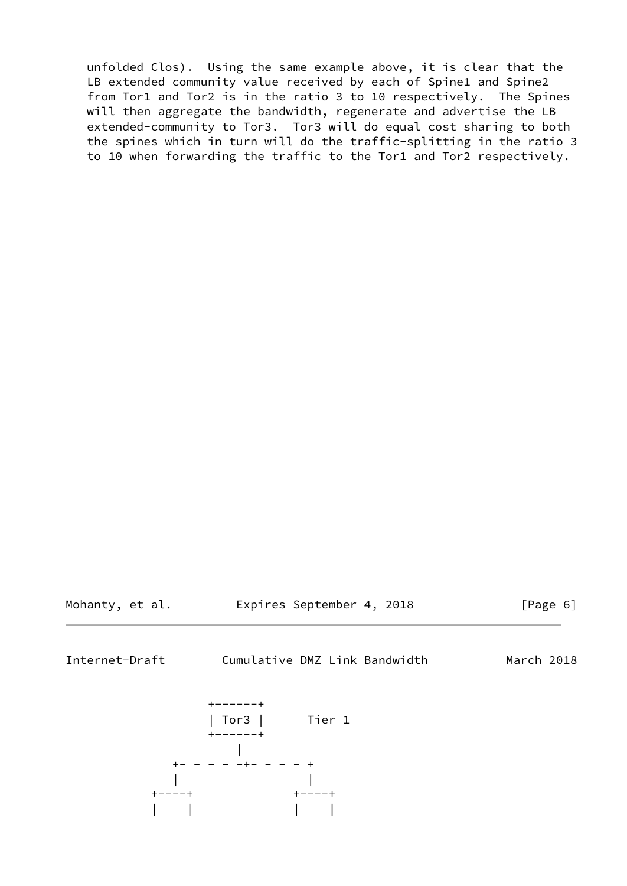unfolded Clos). Using the same example above, it is clear that the LB extended community value received by each of Spine1 and Spine2 from Tor1 and Tor2 is in the ratio 3 to 10 respectively. The Spines will then aggregate the bandwidth, regenerate and advertise the LB extended-community to Tor3. Tor3 will do equal cost sharing to both the spines which in turn will do the traffic-splitting in the ratio 3 to 10 when forwarding the traffic to the Tor1 and Tor2 respectively.

Mohanty, et al. Expires September 4, 2018 [Page 6]

<span id="page-6-0"></span>Internet-Draft Cumulative DMZ Link Bandwidth March 2018

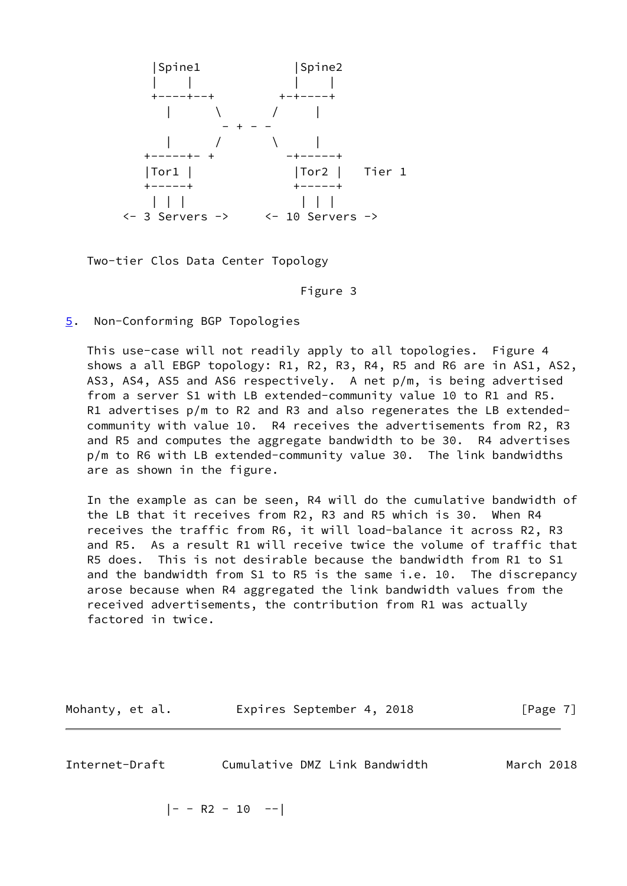

Two-tier Clos Data Center Topology

Figure 3

<span id="page-7-0"></span>[5](#page-7-0). Non-Conforming BGP Topologies

 This use-case will not readily apply to all topologies. Figure 4 shows a all EBGP topology: R1, R2, R3, R4, R5 and R6 are in AS1, AS2, AS3, AS4, AS5 and AS6 respectively. A net p/m, is being advertised from a server S1 with LB extended-community value 10 to R1 and R5. R1 advertises p/m to R2 and R3 and also regenerates the LB extended community with value 10. R4 receives the advertisements from R2, R3 and R5 and computes the aggregate bandwidth to be 30. R4 advertises p/m to R6 with LB extended-community value 30. The link bandwidths are as shown in the figure.

 In the example as can be seen, R4 will do the cumulative bandwidth of the LB that it receives from R2, R3 and R5 which is 30. When R4 receives the traffic from R6, it will load-balance it across R2, R3 and R5. As a result R1 will receive twice the volume of traffic that R5 does. This is not desirable because the bandwidth from R1 to S1 and the bandwidth from S1 to R5 is the same i.e. 10. The discrepancy arose because when R4 aggregated the link bandwidth values from the received advertisements, the contribution from R1 was actually factored in twice.

| Mohanty, et al. | Expires September 4, 2018 | [Page 7] |
|-----------------|---------------------------|----------|
|                 |                           |          |

<span id="page-7-1"></span>

| Internet-Draft | Cumulative DMZ Link Bandwidth |  | March 2018 |  |
|----------------|-------------------------------|--|------------|--|
|                |                               |  |            |  |

 $|- - R2 - 10 - -|$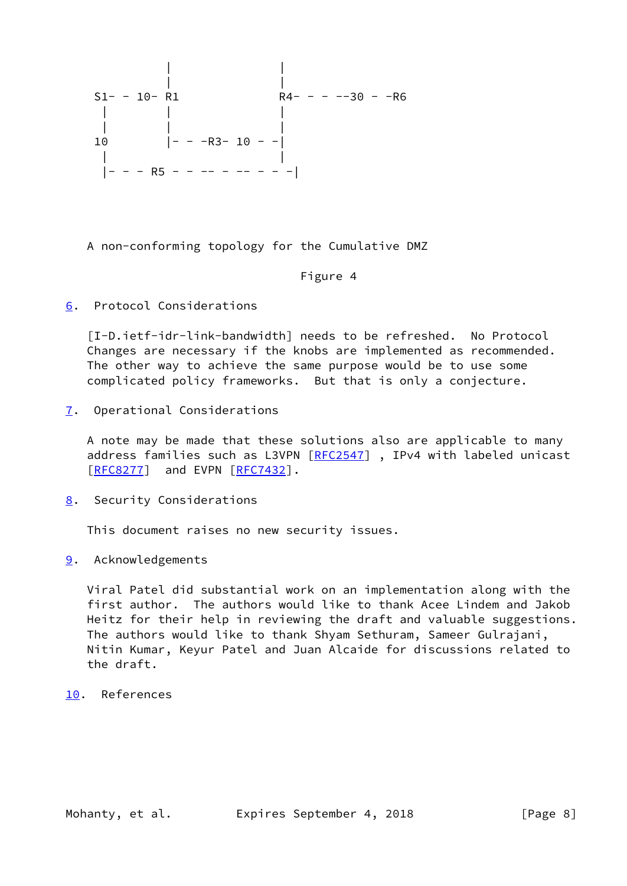

A non-conforming topology for the Cumulative DMZ

## Figure 4

<span id="page-8-0"></span>[6](#page-8-0). Protocol Considerations

<span id="page-8-5"></span> [I-D.ietf-idr-link-bandwidth] needs to be refreshed. No Protocol Changes are necessary if the knobs are implemented as recommended. The other way to achieve the same purpose would be to use some complicated policy frameworks. But that is only a conjecture.

<span id="page-8-1"></span>[7](#page-8-1). Operational Considerations

 A note may be made that these solutions also are applicable to many address families such as L3VPN [\[RFC2547](https://datatracker.ietf.org/doc/pdf/rfc2547)], IPv4 with labeled unicast [\[RFC8277](https://datatracker.ietf.org/doc/pdf/rfc8277)] and EVPN [\[RFC7432](https://datatracker.ietf.org/doc/pdf/rfc7432)].

<span id="page-8-2"></span>[8](#page-8-2). Security Considerations

This document raises no new security issues.

<span id="page-8-3"></span>[9](#page-8-3). Acknowledgements

 Viral Patel did substantial work on an implementation along with the first author. The authors would like to thank Acee Lindem and Jakob Heitz for their help in reviewing the draft and valuable suggestions. The authors would like to thank Shyam Sethuram, Sameer Gulrajani, Nitin Kumar, Keyur Patel and Juan Alcaide for discussions related to the draft.

<span id="page-8-4"></span>[10.](#page-8-4) References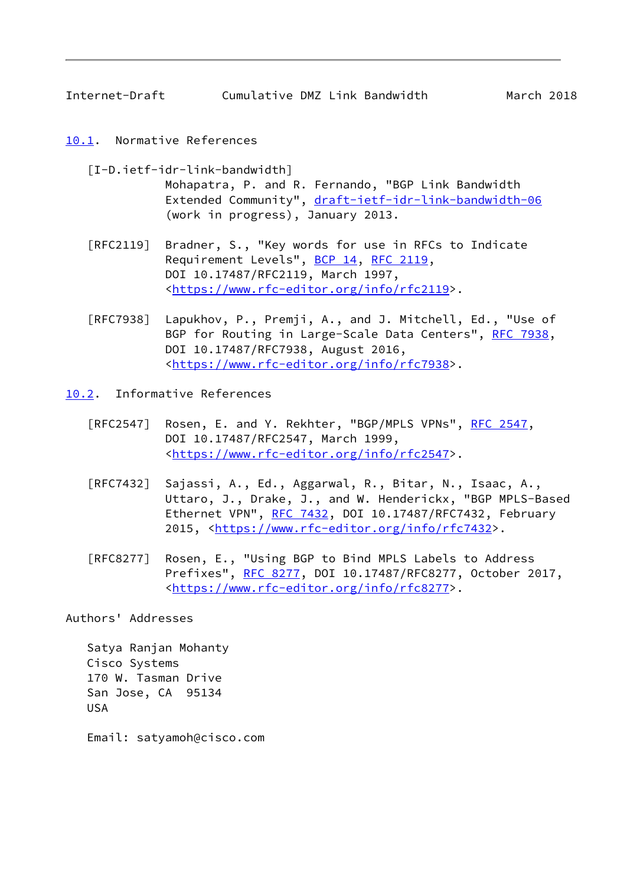<span id="page-9-1"></span>Internet-Draft Cumulative DMZ Link Bandwidth March 2018

- <span id="page-9-0"></span>[10.1](#page-9-0). Normative References
	- [I-D.ietf-idr-link-bandwidth] Mohapatra, P. and R. Fernando, "BGP Link Bandwidth Extended Community", [draft-ietf-idr-link-bandwidth-06](https://datatracker.ietf.org/doc/pdf/draft-ietf-idr-link-bandwidth-06) (work in progress), January 2013.
	- [RFC2119] Bradner, S., "Key words for use in RFCs to Indicate Requirement Levels", [BCP 14](https://datatracker.ietf.org/doc/pdf/bcp14), [RFC 2119](https://datatracker.ietf.org/doc/pdf/rfc2119), DOI 10.17487/RFC2119, March 1997, <[https://www.rfc-editor.org/info/rfc2119>](https://www.rfc-editor.org/info/rfc2119).
	- [RFC7938] Lapukhov, P., Premji, A., and J. Mitchell, Ed., "Use of BGP for Routing in Large-Scale Data Centers", [RFC 7938](https://datatracker.ietf.org/doc/pdf/rfc7938), DOI 10.17487/RFC7938, August 2016, <[https://www.rfc-editor.org/info/rfc7938>](https://www.rfc-editor.org/info/rfc7938).
- <span id="page-9-2"></span>[10.2](#page-9-2). Informative References
	- [RFC2547] Rosen, E. and Y. Rekhter, "BGP/MPLS VPNs", [RFC 2547](https://datatracker.ietf.org/doc/pdf/rfc2547), DOI 10.17487/RFC2547, March 1999, <[https://www.rfc-editor.org/info/rfc2547>](https://www.rfc-editor.org/info/rfc2547).
	- [RFC7432] Sajassi, A., Ed., Aggarwal, R., Bitar, N., Isaac, A., Uttaro, J., Drake, J., and W. Henderickx, "BGP MPLS-Based Ethernet VPN", [RFC 7432](https://datatracker.ietf.org/doc/pdf/rfc7432), DOI 10.17487/RFC7432, February 2015, [<https://www.rfc-editor.org/info/rfc7432](https://www.rfc-editor.org/info/rfc7432)>.
	- [RFC8277] Rosen, E., "Using BGP to Bind MPLS Labels to Address Prefixes", [RFC 8277](https://datatracker.ietf.org/doc/pdf/rfc8277), DOI 10.17487/RFC8277, October 2017, <[https://www.rfc-editor.org/info/rfc8277>](https://www.rfc-editor.org/info/rfc8277).

Authors' Addresses

 Satya Ranjan Mohanty Cisco Systems 170 W. Tasman Drive San Jose, CA 95134 USA

Email: satyamoh@cisco.com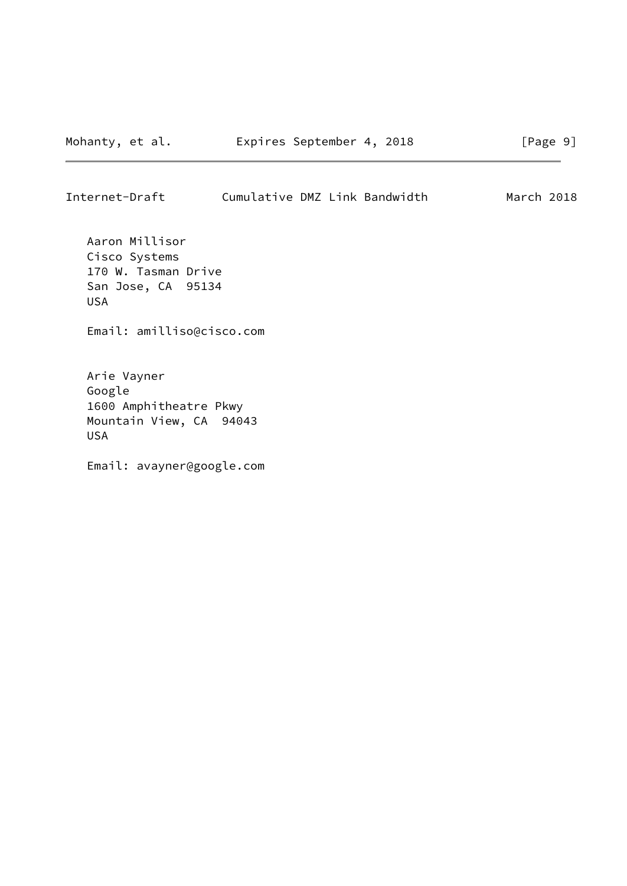Internet-Draft Cumulative DMZ Link Bandwidth March 2018

 Aaron Millisor Cisco Systems 170 W. Tasman Drive San Jose, CA 95134 USA

Email: amilliso@cisco.com

 Arie Vayner Google 1600 Amphitheatre Pkwy Mountain View, CA 94043 USA

Email: avayner@google.com